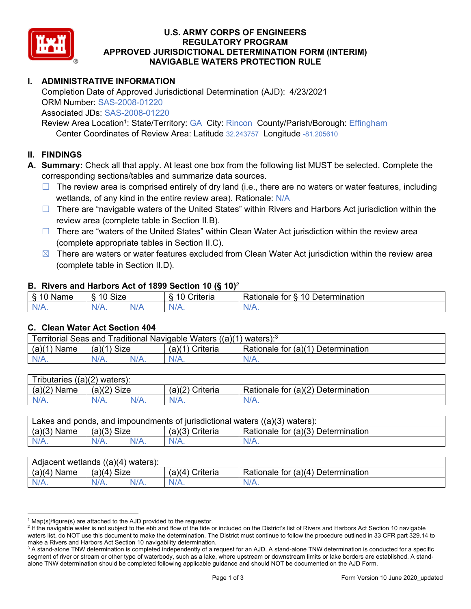

### **U.S. ARMY CORPS OF ENGINEERS NAVIGABLE WATERS PROTECTION RULE REGULATORY PROGRAM APPROVED JURISDICTIONAL DETERMINATION FORM (INTERIM)**

# **I. ADMINISTRATIVE INFORMATION**

Completion Date of Approved Jurisdictional Determination (AJD): 4/23/2021 ORM Number: SAS-2008-01220 Associated JDs: SAS-2008-01220

Review Area Location<sup>1</sup>: State/Territory: GA City: Rincon County/Parish/Borough: Effingham Center Coordinates of Review Area: Latitude 32.243757 Longitude -81.205610

### **II. FINDINGS**

**A. Summary:** Check all that apply. At least one box from the following list MUST be selected. Complete the corresponding sections/tables and summarize data sources.

- □ The review area is comprised entirely of dry land (i.e., there are no waters or water features, including wetlands, of any kind in the entire review area). Rationale: N/A
- review area (complete table in Section II.B).  $\Box$  There are "navigable waters of the United States" within Rivers and Harbors Act jurisdiction within the
- (complete appropriate tables in Section II.C). ☐ There are "waters of the United States" within Clean Water Act jurisdiction within the review area
- $\boxtimes$  There are waters or water features excluded from Clean Water Act jurisdiction within the review area (complete table in Section II.D).

### **B. Rivers and Harbors Act of 1899 Section 10 (§ 10)**<sup>2</sup>

| $\sqrt{2}$<br>ıme<br>Ø.<br> | 10<br><b>Size</b><br>U |     | $\overline{\phantom{a}}$<br>. .<br>-<br>:riteria<br>ונסוום | -<br>10<br>-<br>Determination<br>tor<br>≺atıonale |
|-----------------------------|------------------------|-----|------------------------------------------------------------|---------------------------------------------------|
| N/L                         |                        | NŁ. | w                                                          | м.<br>$\mathbf{v}$                                |

### **C. Clean Water Act Section 404**

|                  |               | Territorial Seas and Traditional Navigable Waters $((a)(1)$ waters): <sup>3</sup> |                                    |
|------------------|---------------|-----------------------------------------------------------------------------------|------------------------------------|
| (a)(1)<br>` Name | $(a)(1)$ Size | $(a)(1)$ Criteria                                                                 | Rationale for (a)(1) Determination |
| N/A.             | $N/A$ .       | $N/A$ .                                                                           | $N/A$ .                            |
|                  |               |                                                                                   |                                    |

| Tributaries $((a)(2)$ waters): |               |         |                 |                                    |
|--------------------------------|---------------|---------|-----------------|------------------------------------|
| $(a)(2)$ Name                  | $(a)(2)$ Size |         | (a)(2) Criteria | Rationale for (a)(2) Determination |
| $N/A$ .                        | $N/A$ .       | $N/A$ . | $N/A$ .         | $N/A$ .                            |
|                                |               |         |                 |                                    |

| $(a)(3)$ Name<br>Rationale for (a)(3) Determination<br>$(a)(3)$ Size<br>(a)(3) Criteria |  |
|-----------------------------------------------------------------------------------------|--|
|                                                                                         |  |
| $N/A$ .<br>$N/A$ .<br>$N/A$ .<br>$N/A$ .<br>$N/A$ .                                     |  |

| $(a)(4)$ Name<br>(a)(4)<br>Size<br>(a)(4) Criteria<br>Rationale for (a)(4) Determination | Adjacent wetlands $((a)(4)$ waters): |      |         |         |         |
|------------------------------------------------------------------------------------------|--------------------------------------|------|---------|---------|---------|
|                                                                                          |                                      |      |         |         |         |
|                                                                                          | N/A.                                 | N/A. | $N/A$ . | $N/A$ . | $N/A$ . |

 $^1$  Map(s)/figure(s) are attached to the AJD provided to the requestor.<br><sup>2</sup> If the navigable water is not subject to the ebb and flow of the tide o

<sup>&</sup>lt;sup>2</sup> If the navigable water is not subject to the ebb and flow of the tide or included on the District's list of Rivers and Harbors Act Section 10 navigable waters list, do NOT use this document to make the determination. The District must continue to follow the procedure outlined in 33 CFR part 329.14 to make a Rivers and Harbors Act Section 10 navigability determination.

 $^{\rm 3}$  A stand-alone TNW determination is completed independently of a request for an AJD. A stand-alone TNW determination is conducted for a specific segment of river or stream or other type of waterbody, such as a lake, where upstream or downstream limits or lake borders are established. A standalone TNW determination should be completed following applicable guidance and should NOT be documented on the AJD Form.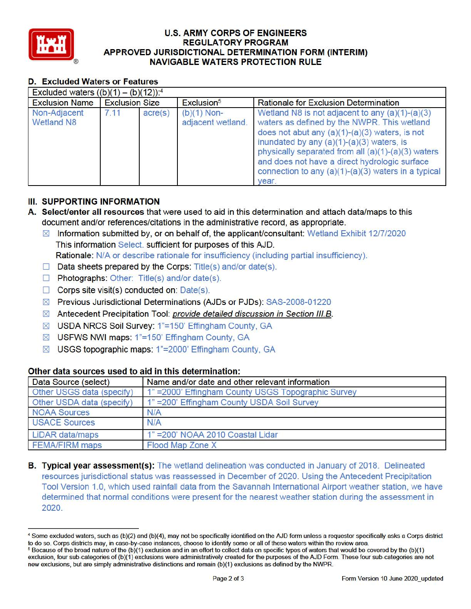

### **U.S. ARMY CORPS OF ENGINEERS REGULATORY PROGRAM APPROVED JURISDICTIONAL DETERMINATION FORM (INTERIM) NAVIGABLE WATERS PROTECTION RULE**

# **D. Excluded Waters or Features**

| Excluded waters $((b)(1) - (b)(12))$ : <sup>4</sup> |                       |         |                                    |                                                                                                                                                                                                                                                                                                                                                                              |
|-----------------------------------------------------|-----------------------|---------|------------------------------------|------------------------------------------------------------------------------------------------------------------------------------------------------------------------------------------------------------------------------------------------------------------------------------------------------------------------------------------------------------------------------|
| <b>Exclusion Name</b>                               | <b>Exclusion Size</b> |         | Exclusion <sup>5</sup>             | <b>Rationale for Exclusion Determination</b>                                                                                                                                                                                                                                                                                                                                 |
| Non-Adjacent<br><b>Wetland N8</b>                   | 7.11                  | acre(s) | $(b)(1)$ Non-<br>adjacent wetland. | Wetland N8 is not adjacent to any $(a)(1)-(a)(3)$<br>waters as defined by the NWPR. This wetland<br>does not abut any $(a)(1)-(a)(3)$ waters, is not<br>inundated by any $(a)(1)-(a)(3)$ waters, is<br>physically separated from all (a)(1)-(a)(3) waters<br>and does not have a direct hydrologic surface<br>connection to any $(a)(1)-(a)(3)$ waters in a typical<br>vear. |

# Ill. **SUPPORTING INFORMATION**

- **A. Select/enter all resources** that were used to aid in this determination and attach data/maps to this document and/or references/citations in the administrative record, as appropriate.
	- $\boxtimes$  Information submitted by, or on behalf of, the applicant/consultant: Wetland Exhibit 12/7/2020 This information Select. sufficient for purposes of this AJD. Rationale: N/A or describe rationale for insufficiency (including partial insufficiency).
	- $\Box$  Data sheets prepared by the Corps: Title(s) and/or date(s).
	- $\Box$  Photographs: Other: Title(s) and/or date(s).
	- □ Corps site visit(s) conducted on: Date(s).
	- 0 Previous Jurisdictional Determinations (AJDs or PJDs): SAS-2008-01220
	- $\boxtimes$  Antecedent Precipitation Tool: provide detailed discussion in Section III.B.
	- 0 USDA NRCS Soil Survey: 1"=150' Effingham County, GA
	- 0 USFWS NWI maps: 1"=150' Effingham County, GA
	- ⊠ USGS topographic maps: 1"=2000' Effingham County, GA

## **Other data sources used to aid in this determination:**

| Data Source (select)      | Name and/or date and other relevant information     |
|---------------------------|-----------------------------------------------------|
| Other USGS data (specify) | 1" = 2000' Effingham County USGS Topographic Survey |
| Other USDA data (specify) | 1" = 200' Effingham County USDA Soil Survey         |
| <b>NOAA Sources</b>       | N/A                                                 |
| <b>USACE Sources</b>      | N/A                                                 |
| LiDAR data/maps           | 1" = 200' NOAA 2010 Coastal Lidar                   |
| <b>FEMA/FIRM</b> maps     | Flood Map Zone X                                    |

**B. Typical year assessment(s):** The wetland delineation was conducted in January of 2018. Delineated resources jurisdictional status was reassessed in December of 2020. Using the Antecedent Precipitation Tool Version 1.0, which used rainfall data from the Savannah International Airport weather station, we have determined that normal conditions were present for the nearest weather station during the assessment in 2020.

<sup>•</sup> Some excluded waters, such as (b)(2) and (b)(4), may not be specifically identified on the AJD form unless a requestor specifically asks a Corps district <sup>5</sup> Because of the broad nature of the (b)(1) exclusion and in an effort to collect data on specific types of waters that would be covered by the (b)(1)

exclusion, four sub-categories of (b)(1) exclusions were administratively created for the purposes of the AJD Form. These four sub-categories are not new exclusions, but are simply administrative distinctions and remain (b)(1) exclusions as defined by the NWPR.